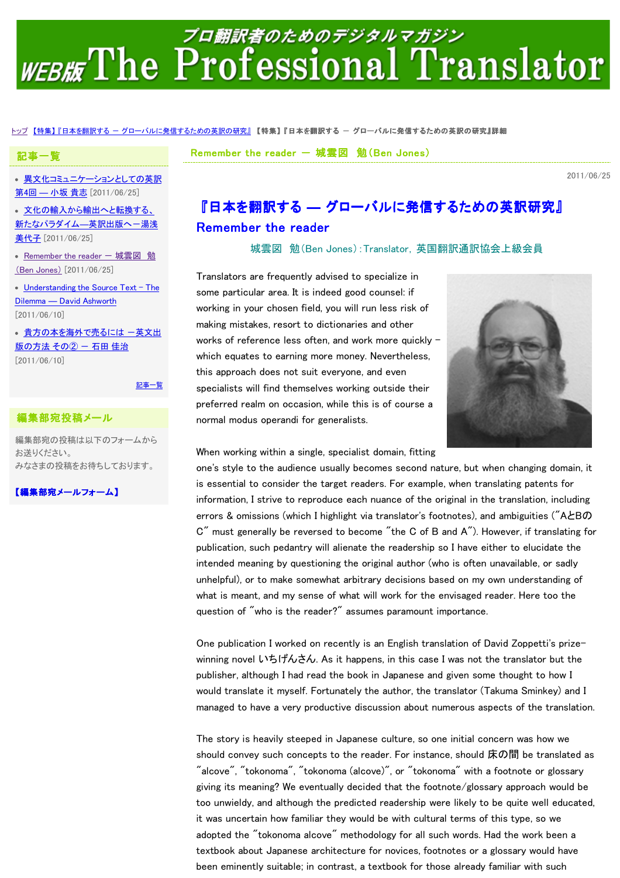# プロ翻訳者のためのデジタルマガジン WEBHE The Professional Translator

#### <u>トップ【特集】『日本を翻訳する ー グローバルに発信するための英訳の研究</u>』【特集】『日本を翻訳する ー グローバルに発信するための英訳の研究』詳細

Remember the reader  $-$  城雲図 勉(Ben Jones)

2011/06/25

• 畢文化コミュニケーションとしての英訳 第4回 ― 小坂 貴志 [2011/06/25]

記事一覧

文化の輸入から輸出へと転換する、 新たなパラダイム–英訳出版へ–湯浅 美代子 [2011/06/25]

• Remember the reader - 城雲図 勉 (Ben Jones) [2011/06/25]

• Understanding the Source Text - The Dilemma ― David Ashworth [2011/06/10]

• 貴方の本を海外で売るには 一英文出 版の方法 その② - 石田 佳治 [2011/06/10]

記事一覧

### 編集部宛投稿メール

編集部宛の投稿は以下のフォームから お送りください。 みなさまの投稿をお待ちしております。

【編集部宛メールフォーム】

## 『日本を翻訳する ― グローバルに発信するための英訳研究』 Remember the reader

城雲図 勉(Ben Jones):Translator,英国翻訳通訳協会上級会員

Translators are frequently advised to specialize in some particular area. It is indeed good counsel: if working in your chosen field, you will run less risk of making mistakes, resort to dictionaries and other works of reference less often, and work more quickly – which equates to earning more money. Nevertheless, this approach does not suit everyone, and even specialists will find themselves working outside their preferred realm on occasion, while this is of course a normal modus operandi for generalists.



When working within a single, specialist domain, fitting

one's style to the audience usually becomes second nature, but when changing domain, it is essential to consider the target readers. For example, when translating patents for information, I strive to reproduce each nuance of the original in the translation, including errors & omissions (which I highlight via translator's footnotes), and ambiguities ("AとBの C" must generally be reversed to become "the C of B and A"). However, if translating for publication, such pedantry will alienate the readership so I have either to elucidate the intended meaning by questioning the original author (who is often unavailable, or sadly unhelpful), or to make somewhat arbitrary decisions based on my own understanding of what is meant, and my sense of what will work for the envisaged reader. Here too the question of "who is the reader?" assumes paramount importance.

One publication I worked on recently is an English translation of David Zoppetti's prizewinning novel いちげんさん. As it happens, in this case I was not the translator but the publisher, although I had read the book in Japanese and given some thought to how I would translate it myself. Fortunately the author, the translator (Takuma Sminkey) and I managed to have a very productive discussion about numerous aspects of the translation.

The story is heavily steeped in Japanese culture, so one initial concern was how we should convey such concepts to the reader. For instance, should 床の間 be translated as "alcove", "tokonoma", "tokonoma (alcove)", or "tokonoma" with a footnote or glossary giving its meaning? We eventually decided that the footnote/glossary approach would be too unwieldy, and although the predicted readership were likely to be quite well educated, it was uncertain how familiar they would be with cultural terms of this type, so we adopted the "tokonoma alcove" methodology for all such words. Had the work been a textbook about Japanese architecture for novices, footnotes or a glossary would have been eminently suitable; in contrast, a textbook for those already familiar with such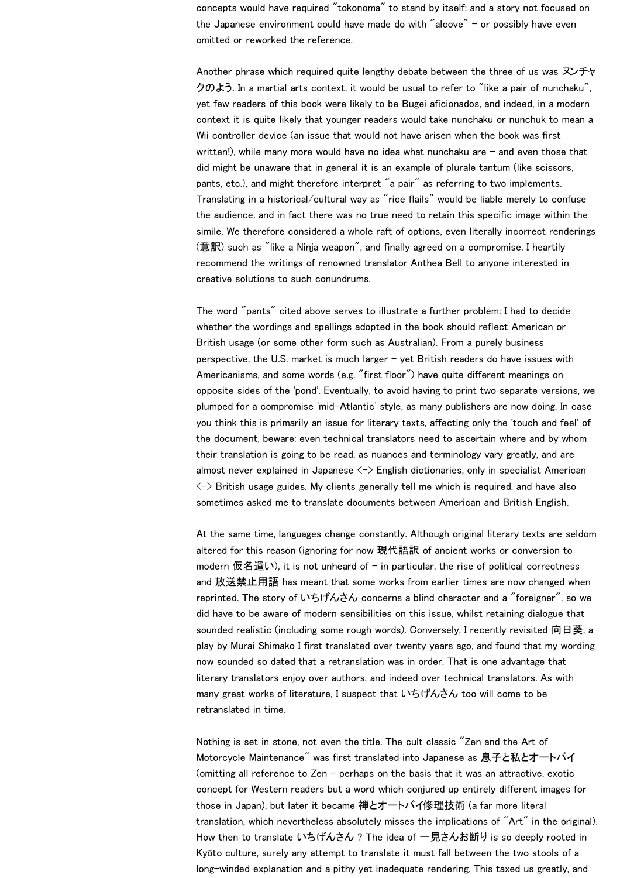concepts would have required "tokonoma" to stand by itself; and a story not focused on the Japanese environment could have made do with "alcove"  $-$  or possibly have even omitted or reworked the reference.

Another phrase which required quite lengthy debate between the three of us was ヌンチャ クのよう. In a martial arts context, it would be usual to refer to "like a pair of nunchaku", yet few readers of this book were likely to be Bugei aficionados, and indeed, in a modern context it is quite likely that younger readers would take nunchaku or nunchuk to mean a Wii controller device (an issue that would not have arisen when the book was first written!), while many more would have no idea what nunchaku are – and even those that did might be unaware that in general it is an example of plurale tantum (like scissors, pants, etc.), and might therefore interpret "a pair" as referring to two implements. Translating in a historical/cultural way as "rice flails" would be liable merely to confuse the audience, and in fact there was no true need to retain this specific image within the simile. We therefore considered a whole raft of options, even literally incorrect renderings (意訳) such as "like a Ninja weapon", and finally agreed on a compromise. I heartily recommend the writings of renowned translator Anthea Bell to anyone interested in creative solutions to such conundrums.

The word "pants" cited above serves to illustrate a further problem: I had to decide whether the wordings and spellings adopted in the book should reflect American or British usage (or some other form such as Australian). From a purely business perspective, the U.S. market is much larger – yet British readers do have issues with Americanisms, and some words (e.g. "first floor") have quite different meanings on opposite sides of the 'pond'. Eventually, to avoid having to print two separate versions, we plumped for a compromise 'mid-Atlantic' style, as many publishers are now doing. In case you think this is primarily an issue for literary texts, affecting only the 'touch and feel' of the document, beware: even technical translators need to ascertain where and by whom their translation is going to be read, as nuances and terminology vary greatly, and are almost never explained in Japanese  $\langle - \rangle$  English dictionaries, only in specialist American  $\langle$   $\rightarrow$  British usage guides. My clients generally tell me which is required, and have also sometimes asked me to translate documents between American and British English.

At the same time, languages change constantly. Although original literary texts are seldom altered for this reason (ignoring for now 現代語訳 of ancient works or conversion to modern 仮名遣い), it is not unheard of – in particular, the rise of political correctness and 放送禁止用語 has meant that some works from earlier times are now changed when reprinted. The story of いちげんさん concerns a blind character and a "foreigner", so we did have to be aware of modern sensibilities on this issue, whilst retaining dialogue that sounded realistic (including some rough words). Conversely, I recently revisited 向日葵, a play by Murai Shimako I first translated over twenty years ago, and found that my wording now sounded so dated that a retranslation was in order. That is one advantage that literary translators enjoy over authors, and indeed over technical translators. As with many great works of literature, I suspect that いちげんさん too will come to be retranslated in time.

Nothing is set in stone, not even the title. The cult classic "Zen and the Art of Motorcycle Maintenance" was first translated into Japanese as 息子と私とオートバイ (omitting all reference to Zen – perhaps on the basis that it was an attractive, exotic concept for Western readers but a word which conjured up entirely different images for those in Japan), but later it became 禅とオートバイ修理技術 (a far more literal translation, which nevertheless absolutely misses the implications of "Art" in the original). How then to translate いちげんさん ? The idea of 一見さんお断り is so deeply rooted in Kyōto culture, surely any attempt to translate it must fall between the two stools of a long-winded explanation and a pithy yet inadequate rendering. This taxed us greatly, and